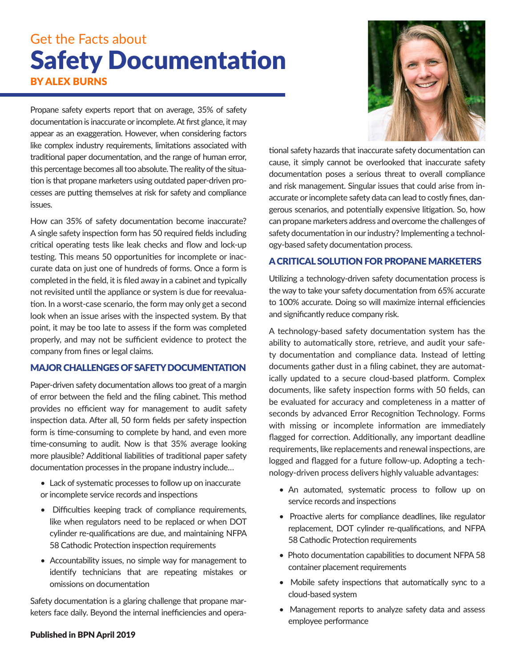# Get the Facts about Safety Documentation BY ALEX BURNS

Propane safety experts report that on average, 35% of safety documentation is inaccurate or incomplete. At first glance, it may appear as an exaggeration. However, when considering factors like complex industry requirements, limitations associated with traditional paper documentation, and the range of human error, this percentage becomes all too absolute. The reality of the situation is that propane marketers using outdated paper-driven processes are putting themselves at risk for safety and compliance issues.

How can 35% of safety documentation become inaccurate? A single safety inspection form has 50 required fields including critical operating tests like leak checks and flow and lock-up testing. This means 50 opportunities for incomplete or inaccurate data on just one of hundreds of forms. Once a form is completed in the field, it is filed away in a cabinet and typically not revisited until the appliance or system is due for reevaluation. In a worst-case scenario, the form may only get a second look when an issue arises with the inspected system. By that point, it may be too late to assess if the form was completed properly, and may not be sufficient evidence to protect the company from fines or legal claims.

### MAJOR CHALLENGES OF SAFETY DOCUMENTATION

Paper-driven safety documentation allows too great of a margin of error between the field and the filing cabinet. This method provides no efficient way for management to audit safety inspection data. After all, 50 form fields per safety inspection form is time-consuming to complete by hand, and even more time-consuming to audit. Now is that 35% average looking more plausible? Additional liabilities of traditional paper safety documentation processes in the propane industry include…

- Lack of systematic processes to follow up on inaccurate or incomplete service records and inspections
- Difficulties keeping track of compliance requirements, like when regulators need to be replaced or when DOT cylinder re-qualifications are due, and maintaining NFPA 58 Cathodic Protection inspection requirements
- Accountability issues, no simple way for management to identify technicians that are repeating mistakes or omissions on documentation

Safety documentation is a glaring challenge that propane marketers face daily. Beyond the internal inefficiencies and opera-

#### Published in BPN April 2019



tional safety hazards that inaccurate safety documentation can cause, it simply cannot be overlooked that inaccurate safety documentation poses a serious threat to overall compliance and risk management. Singular issues that could arise from inaccurate or incomplete safety data can lead to costly fines, dangerous scenarios, and potentially expensive litigation. So, how can propane marketers address and overcome the challenges of safety documentation in our industry? Implementing a technology-based safety documentation process.

### A CRITICAL SOLUTION FOR PROPANE MARKETERS

Utilizing a technology-driven safety documentation process is the way to take your safety documentation from 65% accurate to 100% accurate. Doing so will maximize internal efficiencies and significantly reduce company risk.

A technology-based safety documentation system has the ability to automatically store, retrieve, and audit your safety documentation and compliance data. Instead of letting documents gather dust in a filing cabinet, they are automatically updated to a secure cloud-based platform. Complex documents, like safety inspection forms with 50 fields, can be evaluated for accuracy and completeness in a matter of seconds by advanced Error Recognition Technology. Forms with missing or incomplete information are immediately flagged for correction. Additionally, any important deadline requirements, like replacements and renewal inspections, are logged and flagged for a future follow-up. Adopting a technology-driven process delivers highly valuable advantages:

- An automated, systematic process to follow up on service records and inspections
- Proactive alerts for compliance deadlines, like regulator replacement, DOT cylinder re-qualifications, and NFPA 58 Cathodic Protection requirements
- Photo documentation capabilities to document NFPA 58 container placement requirements
- Mobile safety inspections that automatically sync to a cloud-based system
- Management reports to analyze safety data and assess employee performance